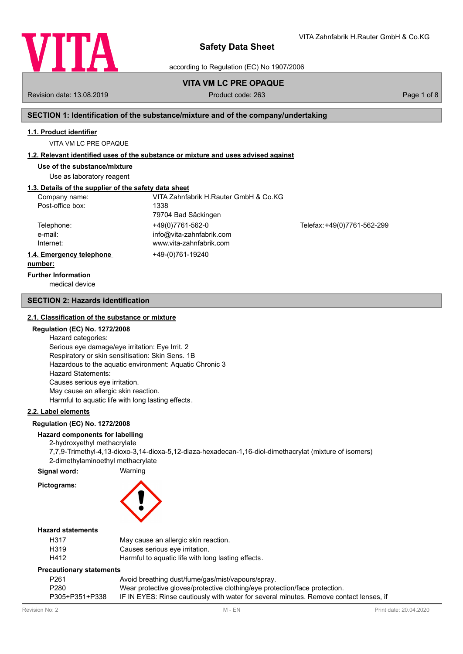

VITA Zahnfabrik H.Rauter GmbH & Co.KG

according to Regulation (EC) No 1907/2006

# **VITA VM LC PRE OPAQUE**

Revision date: 13.08.2019 Product code: 263 Page 1 of 8

# **SECTION 1: Identification of the substance/mixture and of the company/undertaking**

#### **1.1. Product identifier**

VITA VM LC PRE OPAQUE

### **1.2. Relevant identified uses of the substance or mixture and uses advised against**

**Use of the substance/mixture**

Use as laboratory reagent

# **1.3. Details of the supplier of the safety data sheet**

| Company name:            | VITA Zahnfabrik H.Rauter GmbH & Co.KG |                             |
|--------------------------|---------------------------------------|-----------------------------|
| Post-office box:         | 1338                                  |                             |
|                          | 79704 Bad Säckingen                   |                             |
| Telephone:               | +49(0)7761-562-0                      | Telefax: +49(0)7761-562-299 |
| e-mail:                  | info@vita-zahnfabrik.com              |                             |
| Internet:                | www.vita-zahnfabrik.com               |                             |
| 1.4. Emergency telephone | +49-(0)761-19240                      |                             |
| number:                  |                                       |                             |

# **Further Information**

medical device

### **SECTION 2: Hazards identification**

#### **2.1. Classification of the substance or mixture**

# **Regulation (EC) No. 1272/2008**

Hazard categories: Serious eye damage/eye irritation: Eye Irrit. 2 Respiratory or skin sensitisation: Skin Sens. 1B Hazardous to the aquatic environment: Aquatic Chronic 3 Hazard Statements: Causes serious eye irritation. May cause an allergic skin reaction. Harmful to aquatic life with long lasting effects.

# **2.2. Label elements**

### **Regulation (EC) No. 1272/2008**

# **Hazard components for labelling**

2-hydroxyethyl methacrylate 7,7,9-Trimethyl-4,13-dioxo-3,14-dioxa-5,12-diaza-hexadecan-1,16-diol-dimethacrylat (mixture of isomers) 2-dimethylaminoethyl methacrylate

**Signal word:** Warning

# **Pictograms:**



# **Hazard statements**

| H317 | May cause an allergic skin reaction.               |
|------|----------------------------------------------------|
| H319 | Causes serious eye irritation.                     |
| H412 | Harmful to aquatic life with long lasting effects. |

### **Precautionary statements**

| P <sub>261</sub> | Avoid breathing dust/fume/gas/mist/vapours/spray.                                      |
|------------------|----------------------------------------------------------------------------------------|
| P <sub>280</sub> | Wear protective gloves/protective clothing/eye protection/face protection.             |
| P305+P351+P338   | IF IN EYES: Rinse cautiously with water for several minutes. Remove contact lenses, if |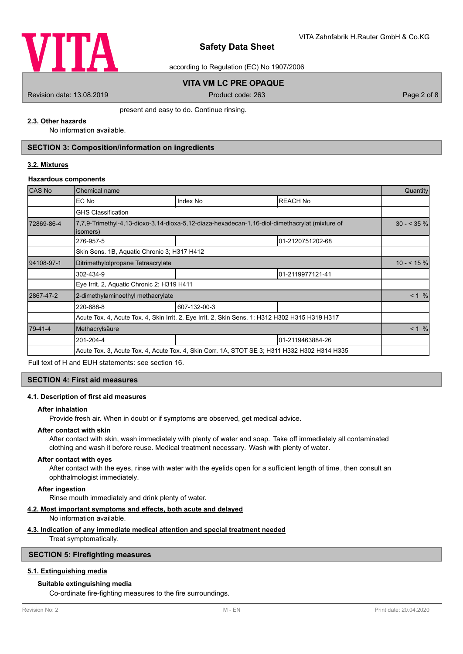

according to Regulation (EC) No 1907/2006

# **VITA VM LC PRE OPAQUE**

Revision date: 13.08.2019 Product code: 263 Page 2 of 8

present and easy to do. Continue rinsing.

# **2.3. Other hazards**

No information available.

# **SECTION 3: Composition/information on ingredients**

# **3.2. Mixtures**

### **Hazardous components**

| <b>CAS No</b> | Chemical name                                                                                              |              |                  |       |  |
|---------------|------------------------------------------------------------------------------------------------------------|--------------|------------------|-------|--|
|               | EC No                                                                                                      | Index No     | <b>REACH No</b>  |       |  |
|               | <b>GHS Classification</b>                                                                                  |              |                  |       |  |
| 72869-86-4    | 7,7,9-Trimethyl-4,13-dioxo-3,14-dioxa-5,12-diaza-hexadecan-1,16-diol-dimethacrylat (mixture of<br>isomers) |              |                  |       |  |
|               | 276-957-5                                                                                                  |              | 01-2120751202-68 |       |  |
|               | Skin Sens. 1B, Aquatic Chronic 3; H317 H412                                                                |              |                  |       |  |
| 94108-97-1    | Ditrimethylolpropane Tetraacrylate                                                                         |              |                  |       |  |
|               | 302-434-9                                                                                                  |              | 01-2119977121-41 |       |  |
|               | Eye Irrit. 2, Aquatic Chronic 2; H319 H411                                                                 |              |                  |       |  |
| 2867-47-2     | 2-dimethylaminoethyl methacrylate                                                                          |              |                  | < 1 % |  |
|               | 220-688-8                                                                                                  | 607-132-00-3 |                  |       |  |
|               | Acute Tox. 4, Acute Tox. 4, Skin Irrit. 2, Eye Irrit. 2, Skin Sens. 1; H312 H302 H315 H319 H317            |              |                  |       |  |
| 79-41-4       | Methacrylsäure                                                                                             |              |                  |       |  |
|               | 201-204-4                                                                                                  |              | 01-2119463884-26 |       |  |
|               | Acute Tox. 3, Acute Tox. 4, Acute Tox. 4, Skin Corr. 1A, STOT SE 3; H311 H332 H302 H314 H335               |              |                  |       |  |

Full text of H and EUH statements: see section 16.

### **SECTION 4: First aid measures**

### **4.1. Description of first aid measures**

#### **After inhalation**

Provide fresh air. When in doubt or if symptoms are observed, get medical advice.

# **After contact with skin**

After contact with skin, wash immediately with plenty of water and soap. Take off immediately all contaminated clothing and wash it before reuse. Medical treatment necessary. Wash with plenty of water.

#### **After contact with eyes**

After contact with the eyes, rinse with water with the eyelids open for a sufficient length of time, then consult an ophthalmologist immediately.

# **After ingestion**

Rinse mouth immediately and drink plenty of water.

#### **4.2. Most important symptoms and effects, both acute and delayed**

No information available.

#### **4.3. Indication of any immediate medical attention and special treatment needed**

Treat symptomatically.

# **SECTION 5: Firefighting measures**

# **5.1. Extinguishing media**

# **Suitable extinguishing media**

Co-ordinate fire-fighting measures to the fire surroundings.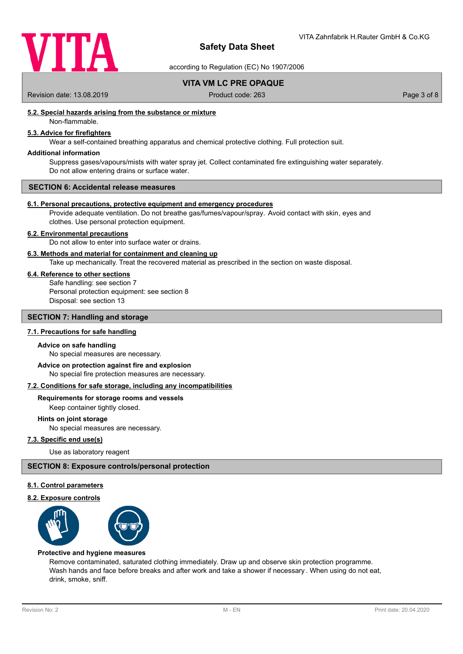

according to Regulation (EC) No 1907/2006

**VITA VM LC PRE OPAQUE**

Revision date: 13.08.2019 Product code: 263 Page 3 of 8

# **5.2. Special hazards arising from the substance or mixture**

Non-flammable.

# **5.3. Advice for firefighters**

Wear a self-contained breathing apparatus and chemical protective clothing. Full protection suit.

#### **Additional information**

Suppress gases/vapours/mists with water spray jet. Collect contaminated fire extinguishing water separately. Do not allow entering drains or surface water.

#### **SECTION 6: Accidental release measures**

#### **6.1. Personal precautions, protective equipment and emergency procedures**

Provide adequate ventilation. Do not breathe gas/fumes/vapour/spray. Avoid contact with skin, eyes and clothes. Use personal protection equipment.

# **6.2. Environmental precautions**

Do not allow to enter into surface water or drains.

#### **6.3. Methods and material for containment and cleaning up**

Take up mechanically. Treat the recovered material as prescribed in the section on waste disposal.

### **6.4. Reference to other sections**

Safe handling: see section 7 Personal protection equipment: see section 8 Disposal: see section 13

# **SECTION 7: Handling and storage**

# **7.1. Precautions for safe handling**

#### **Advice on safe handling**

No special measures are necessary.

No special fire protection measures are necessary. **Advice on protection against fire and explosion**

#### **7.2. Conditions for safe storage, including any incompatibilities**

# **Requirements for storage rooms and vessels**

Keep container tightly closed.

# **Hints on joint storage**

No special measures are necessary.

# **7.3. Specific end use(s)**

Use as laboratory reagent

# **SECTION 8: Exposure controls/personal protection**

#### **8.1. Control parameters**

#### **8.2. Exposure controls**



#### **Protective and hygiene measures**

Remove contaminated, saturated clothing immediately. Draw up and observe skin protection programme. Wash hands and face before breaks and after work and take a shower if necessary . When using do not eat, drink, smoke, sniff.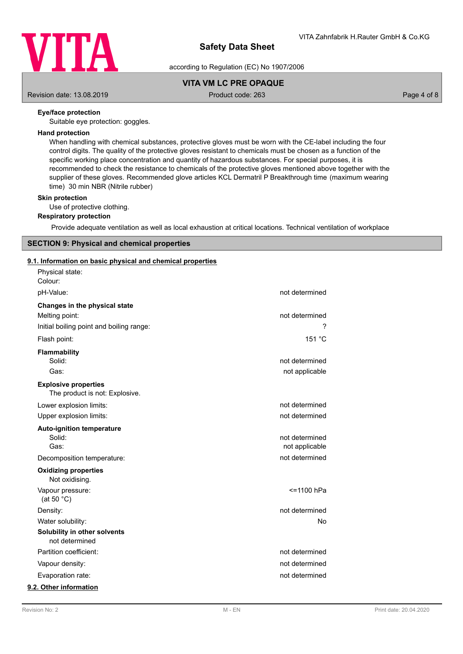

according to Regulation (EC) No 1907/2006

# **VITA VM LC PRE OPAQUE**

Revision date: 13.08.2019 **Product code: 263** Product code: 263 Page 4 of 8

# **Eye/face protection**

Suitable eye protection: goggles.

### **Hand protection**

When handling with chemical substances, protective gloves must be worn with the CE-label including the four control digits. The quality of the protective gloves resistant to chemicals must be chosen as a function of the specific working place concentration and quantity of hazardous substances. For special purposes, it is recommended to check the resistance to chemicals of the protective gloves mentioned above together with the supplier of these gloves. Recommended glove articles KCL Dermatril P Breakthrough time (maximum wearing time) 30 min NBR (Nitrile rubber)

# **Skin protection**

Use of protective clothing.

# **Respiratory protection**

Provide adequate ventilation as well as local exhaustion at critical locations. Technical ventilation of workplace

# **SECTION 9: Physical and chemical properties**

# **9.1. Information on basic physical and chemical properties**

| Physical state:<br>Colour:                                    |                |
|---------------------------------------------------------------|----------------|
| pH-Value:                                                     | not determined |
| Changes in the physical state                                 |                |
| Melting point:                                                | not determined |
| Initial boiling point and boiling range:                      |                |
| Flash point:                                                  | 151 °C         |
| <b>Flammability</b>                                           |                |
| Solid:                                                        | not determined |
| Gas:                                                          | not applicable |
| <b>Explosive properties</b><br>The product is not: Explosive. |                |
| Lower explosion limits:                                       | not determined |
| Upper explosion limits:                                       | not determined |
|                                                               |                |
| <b>Auto-ignition temperature</b><br>Solid:                    | not determined |
| Gas:                                                          | not applicable |
| Decomposition temperature:                                    | not determined |
| <b>Oxidizing properties</b><br>Not oxidising.                 |                |
| Vapour pressure:<br>(at 50 $°C$ )                             | <=1100 hPa     |
| Density:                                                      | not determined |
| Water solubility:                                             | No             |
| Solubility in other solvents<br>not determined                |                |
| Partition coefficient:                                        | not determined |
| Vapour density:                                               | not determined |
| Evaporation rate:                                             | not determined |
| 9.2. Other information                                        |                |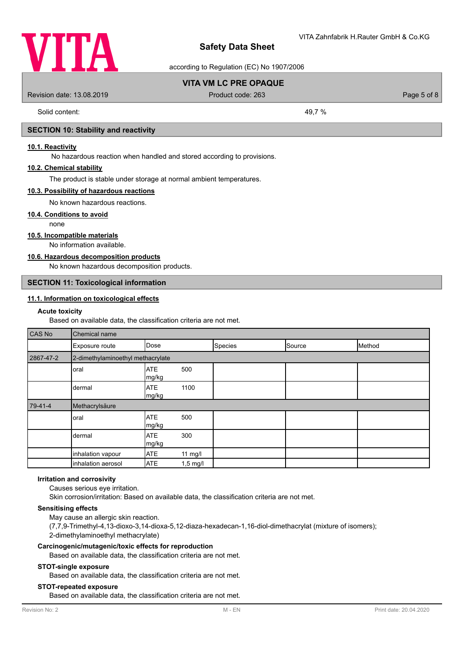

according to Regulation (EC) No 1907/2006

# **VITA VM LC PRE OPAQUE**

Revision date: 13.08.2019 Product code: 263 Page 5 of 8

Solid content: 49,7 %

# **SECTION 10: Stability and reactivity**

# **10.1. Reactivity**

No hazardous reaction when handled and stored according to provisions.

## **10.2. Chemical stability**

The product is stable under storage at normal ambient temperatures.

#### **10.3. Possibility of hazardous reactions**

No known hazardous reactions.

### **10.4. Conditions to avoid**

none

### **10.5. Incompatible materials**

No information available.

# **10.6. Hazardous decomposition products**

No known hazardous decomposition products.

# **SECTION 11: Toxicological information**

# **11.1. Information on toxicological effects**

#### **Acute toxicity**

Based on available data, the classification criteria are not met.

| CAS No    | Chemical name                     |                     |            |         |        |        |
|-----------|-----------------------------------|---------------------|------------|---------|--------|--------|
|           | Exposure route                    | Dose                |            | Species | Source | Method |
| 2867-47-2 | 2-dimethylaminoethyl methacrylate |                     |            |         |        |        |
|           | oral                              | <b>ATE</b><br>mg/kg | 500        |         |        |        |
|           | dermal                            | <b>ATE</b><br>mg/kg | 1100       |         |        |        |
| 79-41-4   | Methacrylsäure                    |                     |            |         |        |        |
|           | oral                              | <b>ATE</b><br>mg/kg | 500        |         |        |        |
|           | dermal                            | <b>ATE</b><br>mg/kg | 300        |         |        |        |
|           | inhalation vapour                 | <b>ATE</b>          | 11 mg/l    |         |        |        |
|           | inhalation aerosol                | <b>ATE</b>          | $1,5$ mg/l |         |        |        |

#### **Irritation and corrosivity**

Causes serious eye irritation. Skin corrosion/irritation: Based on available data, the classification criteria are not met.

#### **Sensitising effects**

May cause an allergic skin reaction. (7,7,9-Trimethyl-4,13-dioxo-3,14-dioxa-5,12-diaza-hexadecan-1,16-diol-dimethacrylat (mixture of isomers); 2-dimethylaminoethyl methacrylate)

#### **Carcinogenic/mutagenic/toxic effects for reproduction**

Based on available data, the classification criteria are not met.

### **STOT-single exposure**

Based on available data, the classification criteria are not met.

### **STOT-repeated exposure**

Based on available data, the classification criteria are not met.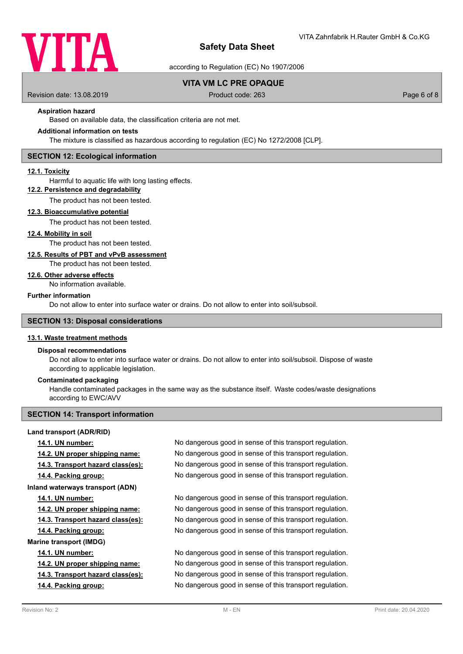

according to Regulation (EC) No 1907/2006

# **VITA VM LC PRE OPAQUE**

Revision date: 13.08.2019 **Product code: 263** Product code: 263 **Page 6 of 8** 

# **Aspiration hazard**

Based on available data, the classification criteria are not met.

# **Additional information on tests**

The mixture is classified as hazardous according to regulation (EC) No 1272/2008 [CLP].

#### **SECTION 12: Ecological information**

#### **12.1. Toxicity**

Harmful to aquatic life with long lasting effects.

# **12.2. Persistence and degradability**

The product has not been tested.

#### **12.3. Bioaccumulative potential**

The product has not been tested.

#### **12.4. Mobility in soil**

The product has not been tested.

#### **12.5. Results of PBT and vPvB assessment**

The product has not been tested.

# **12.6. Other adverse effects**

No information available.

#### **Further information**

Do not allow to enter into surface water or drains. Do not allow to enter into soil/subsoil.

#### **SECTION 13: Disposal considerations**

#### **13.1. Waste treatment methods**

# **Disposal recommendations**

Do not allow to enter into surface water or drains. Do not allow to enter into soil/subsoil. Dispose of waste according to applicable legislation.

### **Contaminated packaging**

Handle contaminated packages in the same way as the substance itself. Waste codes/waste designations according to EWC/AVV

#### **SECTION 14: Transport information**

## **Land transport (ADR/RID)**

**14.1. UN number:** No dangerous good in sense of this transport regulation. **14.2. UN proper shipping name:** No dangerous good in sense of this transport regulation. **14.3. Transport hazard class(es):** No dangerous good in sense of this transport regulation. **14.4. Packing group:** No dangerous good in sense of this transport regulation. **Inland waterways transport (ADN) 14.1. UN number:** No dangerous good in sense of this transport regulation. **14.2. UN proper shipping name:** No dangerous good in sense of this transport regulation. **14.3. Transport hazard class(es):** No dangerous good in sense of this transport regulation. **14.4. Packing group:** No dangerous good in sense of this transport regulation. **Marine transport (IMDG) 14.1. UN number:** No dangerous good in sense of this transport regulation. **14.2. UN proper shipping name:** No dangerous good in sense of this transport regulation. **14.3. Transport hazard class(es):** No dangerous good in sense of this transport regulation. **14.4. Packing group:** No dangerous good in sense of this transport regulation.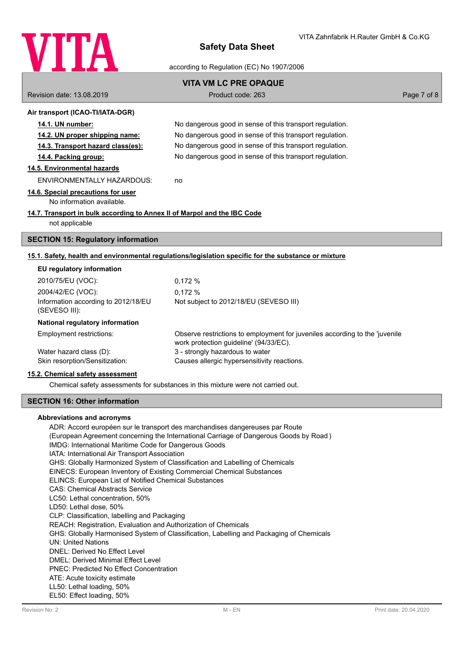

## according to Regulation (EC) No 1907/2006

| <b>VITA VM LC PRE OPAQUE</b>                                                                         |                                                          |             |  |  |
|------------------------------------------------------------------------------------------------------|----------------------------------------------------------|-------------|--|--|
| Revision date: 13.08.2019                                                                            | Product code: 263                                        | Page 7 of 8 |  |  |
| Air transport (ICAO-TI/IATA-DGR)                                                                     |                                                          |             |  |  |
| 14.1. UN number:                                                                                     | No dangerous good in sense of this transport regulation. |             |  |  |
| <u>14.2. UN proper shipping name:</u>                                                                | No dangerous good in sense of this transport regulation. |             |  |  |
| 14.3. Transport hazard class(es):                                                                    | No dangerous good in sense of this transport regulation. |             |  |  |
| 14.4. Packing group:                                                                                 | No dangerous good in sense of this transport regulation. |             |  |  |
| 14.5. Environmental hazards                                                                          |                                                          |             |  |  |
| ENVIRONMENTALLY HAZARDOUS:                                                                           | no                                                       |             |  |  |
| 14.6. Special precautions for user<br>No information available.                                      |                                                          |             |  |  |
| 14.7. Transport in bulk according to Annex II of Marpol and the IBC Code<br>not applicable           |                                                          |             |  |  |
| <b>SECTION 15: Regulatory information</b>                                                            |                                                          |             |  |  |
| 15.1. Safety, health and environmental regulations/legislation specific for the substance or mixture |                                                          |             |  |  |
| EU regulatory information                                                                            |                                                          |             |  |  |
| 2010/75/EU (VOC):                                                                                    | 0.172%                                                   |             |  |  |
| 2004/42/EC (VOC):                                                                                    | 0,172%                                                   |             |  |  |
| Information according to 2012/18/EU<br>(SEVESO III):                                                 | Not subject to 2012/18/EU (SEVESO III)                   |             |  |  |

### **National regulatory information**

Employment restrictions:

Observe restrictions to employment for juveniles according to the 'juvenile work protection guideline' (94/33/EC). Water hazard class (D): 3 - strongly hazardous to water Skin resorption/Sensitization: Causes allergic hypersensitivity reactions.

#### **15.2. Chemical safety assessment**

Chemical safety assessments for substances in this mixture were not carried out.

#### **SECTION 16: Other information**

### **Abbreviations and acronyms**

ADR: Accord européen sur le transport des marchandises dangereuses par Route (European Agreement concerning the International Carriage of Dangerous Goods by Road ) IMDG: International Maritime Code for Dangerous Goods IATA: International Air Transport Association GHS: Globally Harmonized System of Classification and Labelling of Chemicals EINECS: European Inventory of Existing Commercial Chemical Substances ELINCS: European List of Notified Chemical Substances CAS: Chemical Abstracts Service LC50: Lethal concentration, 50% LD50: Lethal dose, 50% CLP: Classification, labelling and Packaging REACH: Registration, Evaluation and Authorization of Chemicals GHS: Globally Harmonised System of Classification, Labelling and Packaging of Chemicals UN: United Nations DNEL: Derived No Effect Level DMEL: Derived Minimal Effect Level PNEC: Predicted No Effect Concentration ATE: Acute toxicity estimate LL50: Lethal loading, 50% EL50: Effect loading, 50%